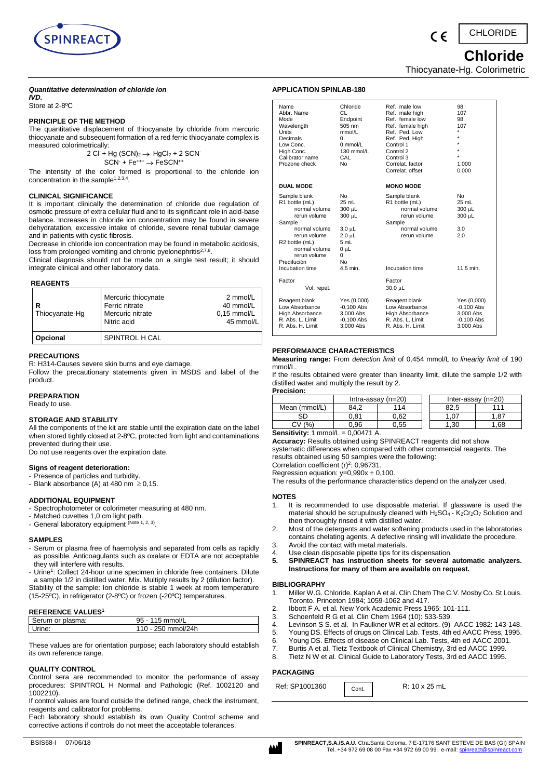

 $\epsilon$ 

CHLORIDE

 **Chloride** 

Thiocyanate-Hg. Colorimetric

# *Quantitative determination of chloride ion*

*IVD.*  Store at 2-8ºC

# **PRINCIPLE OF THE METHOD**

The quantitative displacement of thiocyanate by chloride from mercuric thiocyanate and subsequent formation of a red ferric thiocyanate complex is measured colorimetrically:

> 2 Cl + Hg  $(SCN)_2 \rightarrow HgCl_2 + 2$  SCN  $SCN + Fe^{+++} \rightarrow FeSCN^{++}$

The intensity of the color formed is proportional to the chloride ion concentration in the sample $1,2,3,4$ .

# **CLINICAL SIGNIFICANCE**

It is important clinically the determination of chloride due regulation of osmotic pressure of extra cellular fluid and to its significant role in acid-base balance. Increases in chloride ion concentration may be found in severe dehydratation, excessive intake of chloride, severe renal tubular damage and in patients with cystic fibrosis.

Decrease in chloride ion concentration may be found in metabolic acidosis, loss from prolonged vomiting and chronic pyelonephritis<sup>2,7,8</sup>.

Clinical diagnosis should not be made on a single test result; it should integrate clinical and other laboratory data.

# **REAGENTS**

| Thiocyanate-Hq | Mercuric thiocynate<br>Ferric nitrate<br>Mercuric nitrate<br>Nitric acid | 2 mmol/L<br>40 mmol/L<br>$0.15$ mmol/L<br>45 mmol/L |
|----------------|--------------------------------------------------------------------------|-----------------------------------------------------|
| Opcional       | SPINTROL H CAL                                                           |                                                     |

#### **PRECAUTIONS**

R: H314-Causes severe skin burns and eye damage. Follow the precautionary statements given in MSDS and label of the product.

### **PREPARATION**

Ready to use.

# **STORAGE AND STABILITY**

All the components of the kit are stable until the expiration date on the label when stored tightly closed at 2-8ºC, protected from light and contaminations prevented during their use.

Do not use reagents over the expiration date.

# **Signs of reagent deterioration:**

- Presence of particles and turbidity.

- Blank absorbance (A) at 480 nm  $\geq$  0,15.

### **ADDITIONAL EQUIPMENT**

- Spectrophotometer or colorimeter measuring at 480 nm.
- Matched cuvettes 1,0 cm light path.
- General laboratory equipment (Note 1, 2, 3).

### **SAMPLES**

- Serum or plasma free of haemolysis and separated from cells as rapidly as possible. Anticoagulants such as oxalate or EDTA are not acceptable they will interfere with results.
- Urine<sup>1</sup>: Collect 24-hour urine specimen in chloride free containers. Dilute a sample 1/2 in distilled water. Mix. Multiply results by 2 (dilution factor). Stability of the sample: Ion chloride is stable 1 week at room temperature (15-25ºC), in refrigerator (2-8ºC) or frozen (-20ºC) temperatures.

### **REFERENCE VALUES<sup>1</sup>**

| 110 - 250 mmol/24h | Serum or plasma: | $115$ mmol/L<br>95 - |  |
|--------------------|------------------|----------------------|--|
|                    | Urine:           |                      |  |

These values are for orientation purpose; each laboratory should establish its own reference range.

### **QUALITY CONTROL**

Control sera are recommended to monitor the performance of assay procedures: SPINTROL H Normal and Pathologic (Ref. 1002120 and 1002210).

If control values are found outside the defined range, check the instrument, reagents and calibrator for problems.

Each laboratory should establish its own Quality Control scheme and corrective actions if controls do not meet the acceptable tolerances.

| Name<br>Abbr. Name<br>Mode<br>Wavelength<br>Units<br>Decimals<br>Low Conc.<br>High Conc.<br>Calibrator name<br>Prozone check                                                                                | Chloride<br>CI.<br>Endpoint<br>505 nm<br>mmol/L<br>0<br>$0$ mmol/L<br>130 mmol/L<br>CAL<br>No | Ref. male low<br>Ref. male high<br>Ref. female low<br>Ref. female high<br>Ref. Ped. Low<br>Ref. Ped. High<br>Control 1<br>Control 2<br>Control 3<br>Correlat, factor<br>Correlat, offset | 98<br>107<br>98<br>107<br>$\star$<br>÷<br>÷<br>÷<br>1.000<br>0.000    |
|-------------------------------------------------------------------------------------------------------------------------------------------------------------------------------------------------------------|-----------------------------------------------------------------------------------------------|------------------------------------------------------------------------------------------------------------------------------------------------------------------------------------------|-----------------------------------------------------------------------|
| <b>DUAL MODE</b>                                                                                                                                                                                            |                                                                                               | <b>MONO MODE</b>                                                                                                                                                                         |                                                                       |
| Sample blank<br>R1 bottle (mL)<br>normal volume<br>rerun volume<br>Sample<br>normal volume<br>rerun volume<br>R <sub>2</sub> bottle (mL)<br>normal volume<br>rerun volume<br>Predilución<br>Incubation time | No<br>25 mL<br>300 µL<br>300 µL<br>3,0 µL<br>2,0 µL<br>5 mL<br>0 սԼ<br>0<br>No<br>4.5 min.    | Sample blank<br>R1 bottle (mL)<br>normal volume<br>rerun volume<br>Sample<br>normal volume<br>rerun volume<br>Incubation time                                                            | No.<br>25 mL<br>300 µL<br>300 µL<br>3,0<br>2.0<br>11.5 min.           |
| Factor<br>Vol. repet.                                                                                                                                                                                       |                                                                                               | Factor<br>30,0 µL                                                                                                                                                                        |                                                                       |
| Reagent blank<br>Low Absorbance<br>High Absorbance<br>R. Abs. L. Limit<br>R. Abs. H. Limit                                                                                                                  | Yes (0,000)<br>$-0.100$ Abs<br>3.000 Abs<br>$-0.100$ Abs<br>3,000 Abs                         | Reagent blank<br>Low Absorbance<br><b>High Absorbance</b><br>R. Abs. L. Limit<br>R. Abs. H. Limit                                                                                        | Yes (0,000)<br>$-0,100$ Abs<br>3,000 Abs<br>$-0.100$ Abs<br>3,000 Abs |

### **PERFORMANCE CHARACTERISTICS**

**APPLICATION SPINLAB-180**

**Measuring range:** From *detection limit* of 0,454 mmol/L to *linearity limit* of 190 mmol/L.

If the results obtained were greater than linearity limit, dilute the sample 1/2 with distilled water and multiply the result by 2. **Precision:**

| .             |                      |      |                      |      |
|---------------|----------------------|------|----------------------|------|
|               | Intra-assay $(n=20)$ |      | Inter-assay $(n=20)$ |      |
| Mean (mmol/L) | 114<br>84.2          |      | 82.5                 | 111  |
| SD            | ว.81                 | ን.62 |                      | .87  |
| (0)           | ).96                 | 0.55 | .30                  | 1.68 |

**Sensitivity:** 1 mmol/L = 0,00471 A.

**Accuracy:** Results obtained using SPINREACT reagents did not show systematic differences when compared with other commercial reagents. The

results obtained using 50 samples were the following:

Correlation coefficient  $(r)^2$ : 0,96731. Regression equation: y=0,990x + 0,100.

The results of the performance characteristics depend on the analyzer used.

#### **NOTES**

- 1. It is recommended to use disposable material. If glassware is used the material should be scrupulously cleaned with H<sub>2</sub>SO<sub>4</sub> - K<sub>2</sub>Cr<sub>2</sub>O<sub>7</sub> Solution and then thoroughly rinsed it with distilled water.
- 2. Most of the detergents and water softening products used in the laboratories contains chelating agents. A defective rinsing will invalidate the procedure.
- 3. Avoid the contact with metal materials.
- 4. Use clean disposable pipette tips for its dispensation.<br>5. SPINREACT has instruction sheets for several
- **5. SPINREACT has instruction sheets for several automatic analyzers. Instructions for many of them are available on request.**

# **BIBLIOGRAPHY**

- 1. Miller W.G. Chloride. Kaplan A et al. Clin Chem The C.V. Mosby Co. St Louis. Toronto. Princeton 1984; 1059-1062 and 417.
- 2. Ibbott F A. et al. New York Academic Press 1965: 101-111.
- 3. Schoenfeld R G et al. Clin Chem 1964 (10): 533-539.
- 4. Levinson S S. et al. In Faulkner WR et al editors. (9) AACC 1982: 143-148.
- 5. Young DS. Effects of drugs on Clinical Lab. Tests, 4th ed AACC Press, 1995.
- 6. Young DS. Effects of disease on Clinical Lab. Tests, 4th ed AACC 2001.
- 7. Burtis A et al. Tietz Textbook of Clinical Chemistry, 3rd ed AACC 1999. Tietz N W et al. Clinical Guide to Laboratory Tests, 3rd ed AACC 1995.
- 

# **PACKAGING**

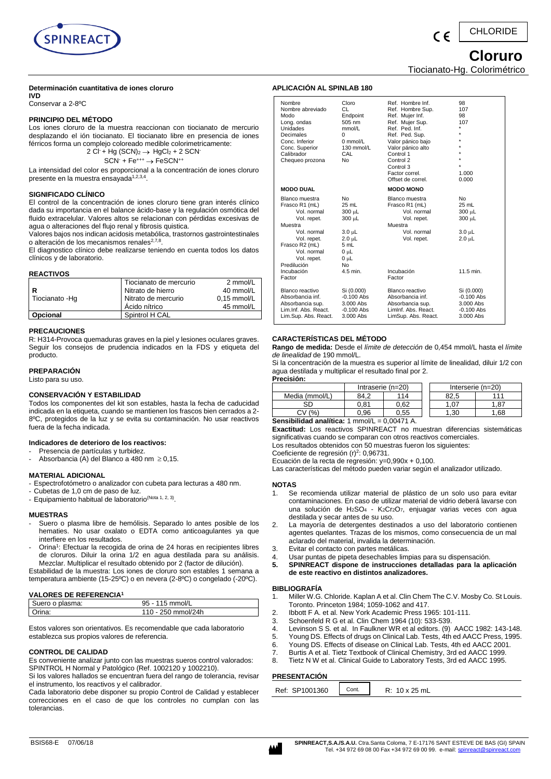

#### CHLORIDE  $\epsilon$

 **Cloruro**

Tiocianato-Hg. Colorimétrico

# **Determinación cuantitativa de iones cloruro**

**IVD** Conservar a 2-8ºC

# **PRINCIPIO DEL MÉTODO**

Los iones cloruro de la muestra reaccionan con tiocianato de mercurio desplazando el ión tiocianato. El tiocianato libre en presencia de iones férricos forma un complejo coloreado medible colorimetricamente:  $2 \text{ CI} + \text{Hg} (\text{SCN})_2 \rightarrow \text{HaCl}$ 

$$
I + Hg (SCN)2 \rightarrow HgCl2 + 2 SCN+
$$
  
SCN<sup>+</sup> + Fe<sup>\*\*\*</sup>  $\rightarrow$  FeSCN<sup>\*\*</sup>

La intensidad del color es proporcional a la concentración de iones cloruro presente en la muestra ensayada<sup>1,2,3,4</sup>.

# **SIGNIFICADO CLÍNICO**

El control de la concentración de iones cloruro tiene gran interés clínico dada su importancia en el balance ácido-base y la regulación osmótica del fluido extracelular. Valores altos se relacionan con pérdidas excesivas de agua o alteraciones del flujo renal y fibrosis quistica.

Valores bajos nos indican acidosis metabólica, trastornos gastrointestinales o alteración de los mecanismos renales<sup>2,7,8</sup>.

El diagnostico clínico debe realizarse teniendo en cuenta todos los datos clínicos y de laboratorio.

# **REACTIVOS**

| Tiocianato - Hq | Tiocianato de mercurio<br>Nitrato de hierro<br>Nitrato de mercurio<br>Ácido nítrico | 2 mmol/L<br>40 mmol/L<br>$0.15$ mmol/L<br>45 mmol/L |
|-----------------|-------------------------------------------------------------------------------------|-----------------------------------------------------|
| Opcional        | Spintrol H CAL                                                                      |                                                     |

### **PRECAUCIONES**

R: H314-Provoca quemaduras graves en la piel y lesiones oculares graves. Seguir los consejos de prudencia indicados en la FDS y etiqueta del producto.

# **PREPARACIÓN**

Listo para su uso.

# **CONSERVACIÓN Y ESTABILIDAD**

Todos los componentes del kit son estables, hasta la fecha de caducidad indicada en la etiqueta, cuando se mantienen los frascos bien cerrados a 2- 8ºC, protegidos de la luz y se evita su contaminación. No usar reactivos fuera de la fecha indicada.

### **Indicadores de deterioro de los reactivos:**

- Presencia de partículas y turbidez.
- Absorbancia (A) del Blanco a 480 nm  $\geq$  0,15.

# **MATERIAL ADICIONAL**

- Espectrofotómetro o analizador con cubeta para lecturas a 480 nm.
- Cubetas de 1,0 cm de paso de luz.
- Equipamiento habitual de laboratorio<sup>(Nota 1, 2, 3)</sup>.

### **MUESTRAS**

- Suero o plasma libre de hemólisis. Separado lo antes posible de los hematies. No usar oxalato o EDTA como anticoagulantes ya que interfiere en los resultados.
- Orina<sup>1</sup>: Efectuar la recogida de orina de 24 horas en recipientes libres de cloruros. Diluir la orina 1/2 en agua destilada para su análisis. Mezclar. Multiplicar el resultado obtenido por 2 (factor de dilución).

Estabilidad de la muestra: Los iones de cloruro son estables 1 semana a temperatura ambiente (15-25ºC) o en nevera (2-8ºC) o congelado (-20ºC).

# **VALORES DE REFERENCIA<sup>1</sup>**

| Suero o plasma: | 95 - 115 mmol/L    |  |
|-----------------|--------------------|--|
| Orina:          | 110 - 250 mmol/24h |  |

Estos valores son orientativos. Es recomendable que cada laboratorio establezca sus propios valores de referencia.

# **CONTROL DE CALIDAD**

Es conveniente analizar junto con las muestras sueros control valorados: SPINTROL H Normal y Patológico (Ref. 1002120 y 1002210).

Si los valores hallados se encuentran fuera del rango de tolerancia, revisar el instrumento, los reactivos y el calibrador.

Cada laboratorio debe disponer su propio Control de Calidad y establecer correcciones en el caso de que los controles no cumplan con las tolerancias.

| Nombre<br>Nombre abreviado<br>Modo<br>Long. ondas<br>Unidades<br>Decimales<br>Conc. Inferior<br>Conc. Superior<br>Calibrador<br>Chequeo prozona                                                | Cloro<br>CL<br>Endpoint<br>505 nm<br>mmol/L<br>$\Omega$<br>$0$ mmol/ $1$<br>130 mmol/L<br>CAL<br>N <sub>o</sub> | Ref. Hombre Inf.<br>Ref. Hombre Sup.<br>Ref. Mujer Inf.<br>Ref. Mujer Sup.<br>Ref. Ped. Inf.<br>Ref. Ped. Sup.<br>Valor pánico bajo<br>Valor pánico alto<br>Control 1<br>Control 2<br>Control 3<br>Factor correl.<br>Offset de correl. | 98<br>107<br>98<br>107<br>1.000<br>0.000                                     |
|------------------------------------------------------------------------------------------------------------------------------------------------------------------------------------------------|-----------------------------------------------------------------------------------------------------------------|----------------------------------------------------------------------------------------------------------------------------------------------------------------------------------------------------------------------------------------|------------------------------------------------------------------------------|
| <b>MODO DUAL</b>                                                                                                                                                                               |                                                                                                                 | <b>MODO MONO</b>                                                                                                                                                                                                                       |                                                                              |
| Blanco muestra<br>Frasco R1 (mL)<br>Vol. normal<br>Vol. repet.<br>Muestra<br>Vol. normal<br>Vol. repet.<br>Frasco R2 (mL)<br>Vol. normal<br>Vol. repet.<br>Predilución<br>Incubación<br>Factor | No<br>25 mL<br>300 µL<br>300 µL<br>$3.0 \mu L$<br>$2.0 \mu L$<br>5 mL<br>0 սԼ<br>0 սԼ<br>Nο<br>4.5 min.         | Blanco muestra<br>Frasco R1 (mL)<br>Vol. normal<br>Vol. repet.<br>Muestra<br>Vol. normal<br>Vol. repet.<br>Incubación<br>Factor                                                                                                        | No<br>$25$ mL<br>300 µL<br>300 µL<br>$3.0 \mu L$<br>$2.0 \mu L$<br>11.5 min. |
| Blanco reactivo<br>Absorbancia inf.<br>Absorbancia sup.<br>Lim.Inf. Abs. React.<br>Lim.Sup. Abs. React.                                                                                        | Si (0.000)<br>$-0.100$ Abs<br>$3.000$ Abs<br>$-0.100$ Abs<br>3.000 Abs                                          | Blanco reactivo<br>Absorbancia inf.<br>Absorbancia sup.<br>Liminf. Abs. React.<br>LimSup. Abs. React.                                                                                                                                  | Si (0.000)<br>$-0.100$ Abs<br>$3.000$ Abs<br>$-0.100$ Abs<br>3.000 Abs       |

# **CARACTERÍSTICAS DEL MÉTODO**

**APLICACIÓN AL SPINLAB 180**

**Rango de medida:** Desde el *límite de detección* de 0,454 mmol/L hasta el *límite de linealidad* de 190 mmol/L.

Si la concentración de la muestra es superior al límite de linealidad, diluir 1/2 con agua destilada y multiplicar el resultado final por 2.

| Precisión:                                    |                   |      |  |      |                   |  |
|-----------------------------------------------|-------------------|------|--|------|-------------------|--|
|                                               | Intraserie (n=20) |      |  |      | Interserie (n=20) |  |
| Media (mmol/L)                                | 114<br>84.2       |      |  | 82.5 | 111               |  |
| SD                                            | 0.81              | 0.62 |  | 1.07 | . 87              |  |
| (%                                            | 0.96              | 0.55 |  | .30  | .68               |  |
| Consibilidad coolítico: 4 metal/l<br>0.00174A |                   |      |  |      |                   |  |

**Sensibilidad analítica:** 1 mmol/L = 0,00471 A.

**Exactitud:** Los reactivos SPINREACT no muestran diferencias sistemáticas significativas cuando se comparan con otros reactivos comerciales.

Los resultados obtenidos con 50 muestras fueron los siguientes:

Coeficiente de regresión (r)<sup>2</sup>: 0,96731.

Ecuación de la recta de regresión: y=0,990x + 0,100.

Las características del método pueden variar según el analizador utilizado.

# **NOTAS**

- Se recomienda utilizar material de plástico de un solo uso para evitar contaminaciones. En caso de utilizar material de vidrio deberá lavarse con una solución de H<sub>2</sub>SO<sub>4</sub> - K<sub>2</sub>Cr<sub>2</sub>O<sub>7</sub>, enjuagar varias veces con agua destilada y secar antes de su uso.
- 2. La mayoría de detergentes destinados a uso del laboratorio contienen agentes quelantes. Trazas de los mismos, como consecuencia de un mal aclarado del material, invalida la determinación.
- 3. Evitar el contacto con partes metálicas.
- 4. Usar puntas de pipeta desechables limpias para su dispensación.
- **5. SPINREACT dispone de instrucciones detalladas para la aplicación de este reactivo en distintos analizadores.**

# **BIBLIOGRAFÍA**

- 1. Miller W.G. Chloride. Kaplan A et al. Clin Chem The C.V. Mosby Co. St Louis. Toronto. Princeton 1984; 1059-1062 and 417.
- 2. Ibbott F A. et al. New York Academic Press 1965: 101-111.<br>3. Schoenfeld R G et al. Clin Chem 1964 (10): 533-539.
- 3. Schoenfeld R G et al. Clin Chem 1964 (10): 533-539.
- 4. Levinson S S. et al. In Faulkner WR et al editors. (9) AACC 1982: 143-148.
- 5. Young DS. Effects of drugs on Clinical Lab. Tests, 4th ed AACC Press, 1995.
- 6. Young DS. Effects of disease on Clinical Lab. Tests, 4th ed AACC 2001.
- 7. Burtis A et al. Tietz Textbook of Clinical Chemistry, 3rd ed AACC 1999.
- 8. Tietz N W et al. Clinical Guide to Laboratory Tests, 3rd ed AACC 1995.

# **PRESENTACIÓN**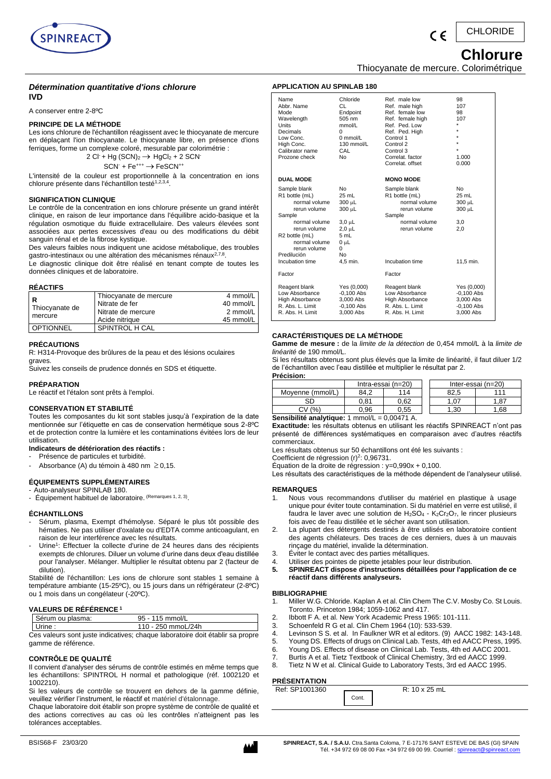

#### CHLORIDE  $\epsilon$

# **Chlorure**

Thiocyanate de mercure. Colorimétrique

# *Détermination quantitative d'ions chlorure* **IVD**

A conserver entre 2-8ºC

# **PRINCIPE DE LA MÉTHODE**

Les ions chlorure de l'échantillon réagissent avec le thiocyanate de mercure en déplaçant l'ion thiocyanate. Le thiocyanate libre, en présence d'ions ferriques, forme un complexe coloré, mesurable par colorimétrie :

 $2 \text{ CI} + Hg \text{ (SCN)}_2 \rightarrow HgCl_2 + 2 \text{ SCN}$  $SCN + Fe^{***} \rightarrow FeSCN^{**}$ 

L'intensité de la couleur est proportionnelle à la concentration en ions chlorure présente dans l'échantillon testé<sup>1,2,3,4</sup>.

# **SIGNIFICATION CLINIQUE**

Le contrôle de la concentration en ions chlorure présente un grand intérêt clinique, en raison de leur importance dans l'équilibre acido-basique et la régulation osmotique du fluide extracellulaire. Des valeurs élevées sont associées aux pertes excessives d'eau ou des modifications du débit sanguin rénal et de la fibrose kystique.

Des valeurs faibles nous indiquent une acidose métabolique, des troubles gastro-intestinaux ou une altération des mécanismes rénaux<sup>2,7,8</sup>.

Le diagnostic clinique doit être réalisé en tenant compte de toutes les données cliniques et de laboratoire.

# **RÉACTIFS**

| R                | Thiocyanate de mercure | 4 mmol/L  |
|------------------|------------------------|-----------|
|                  | Nitrate de fer         | 40 mmol/L |
| Thiocyanate de   | Nitrate de mercure     | 2 mmol/L  |
| mercure          | Acide nitrique         | 45 mmol/L |
| <b>OPTIONNEL</b> | <b>SPINTROL H CAL</b>  |           |

# **PRÉCAUTIONS**

R: H314-Provoque des brûlures de la peau et des lésions oculaires graves.

Suivez les conseils de prudence donnés en SDS et étiquette.

# **PRÉPARATION**

Le réactif et l'étalon sont prêts à l'emploi.

# **CONSERVATION ET STABILITÉ**

Toutes les composantes du kit sont stables jusqu'à l'expiration de la date mentionnée sur l'étiquette en cas de conservation hermétique sous 2-8ºC et de protection contre la lumière et les contaminations évitées lors de leur utilisation.

# **Indicateurs de détérioration des réactifs :**

- Présence de particules et turbidité.
- Absorbance (A) du témoin à 480 nm  $\geq$  0,15.

# **ÉQUIPEMENTS SUPPLÉMENTAIRES**

Auto-analyseur SPINLAB 180. - Équipement habituel de laboratoire. <sup>(Remarques 1, 2, 3)</sup>.

# **ÉCHANTILLONS**

- Sérum, plasma, Exempt d'hémolyse. Séparé le plus tôt possible des hématies. Ne pas utiliser d'oxalate ou d'EDTA comme anticoagulant, en raison de leur interférence avec les résultats.
- Urine<sup>1</sup>: Effectuer la collecte d'urine de 24 heures dans des récipients exempts de chlorures. Diluer un volume d'urine dans deux d'eau distillée pour l'analyser. Mélanger. Multiplier le résultat obtenu par 2 (facteur de dilution).

Stabilité de l'échantillon: Les ions de chlorure sont stables 1 semaine à température ambiante (15-25ºC), ou 15 jours dans un réfrigérateur (2-8ºC) ou 1 mois dans un congélateur (-20ºC).

### **VALEURS DE RÉFÉRENCE <sup>1</sup>**

| $\sim$ $\sim$<br>Sérum ou plasma: | 95 - 115 mmol/L    |  |
|-----------------------------------|--------------------|--|
| Urine:                            | 110 - 250 mmoL/24h |  |

Ces valeurs sont juste indicatives; chaque laboratoire doit établir sa propre gamme de référence.

# **CONTRÔLE DE QUALITÉ**

Il convient d'analyser des sérums de contrôle estimés en même temps que les échantillons: SPINTROL H normal et pathologique (réf. 1002120 et 1002210).

Si les valeurs de contrôle se trouvent en dehors de la gamme définie, veuillez vérifier l'instrument, le réactif et matériel d'étalonnage.

Chaque laboratoire doit établir son propre système de contrôle de qualité et des actions correctives au cas où les contrôles n'atteignent pas les tolérances acceptables.



| Name<br>Abbr. Name<br>Mode<br>Wavelength<br>Units<br>Decimals<br>Low Conc.<br>High Conc.<br>Calibrator name<br>Prozone check                                                                                | Chloride<br>CL<br>Endpoint<br>505 nm<br>mmol/L<br>U<br>$0 \text{ mmol/l}$<br>$130$ mmol/L<br>CAL<br>No | Ref. male low<br>Ref. male high<br>Ref. female low<br>Ref. female high<br>Ref. Ped. Low<br>Ref. Ped. High<br>Control 1<br>Control 2<br>Control 3<br>Correlat, factor<br>Correlat, offset | 98<br>107<br>98<br>107<br>$\star$<br>$\star$<br>$\star$<br>$\star$<br>1.000<br>0.000 |
|-------------------------------------------------------------------------------------------------------------------------------------------------------------------------------------------------------------|--------------------------------------------------------------------------------------------------------|------------------------------------------------------------------------------------------------------------------------------------------------------------------------------------------|--------------------------------------------------------------------------------------|
| <b>DUAL MODE</b>                                                                                                                                                                                            |                                                                                                        | <b>MONO MODE</b>                                                                                                                                                                         |                                                                                      |
| Sample blank<br>R1 bottle (mL)<br>normal volume<br>rerun volume<br>Sample<br>normal volume<br>rerun volume<br>R <sub>2</sub> bottle (mL)<br>normal volume<br>rerun volume<br>Predilución<br>Incubation time | No<br>25 mL<br>300 µL<br>300 µL<br>3,0 µL<br>$2.0$ uL<br>5 mL<br>0 սԼ<br>$\Omega$<br>No<br>4,5 min.    | Sample blank<br>R1 bottle (mL)<br>normal volume<br>rerun volume<br>Sample<br>normal volume<br>rerun volume<br>Incubation time                                                            | No<br>25 mL<br>300 µL<br>300 µL<br>3.0<br>2.0<br>11.5 min.                           |
| Factor                                                                                                                                                                                                      |                                                                                                        | Factor                                                                                                                                                                                   |                                                                                      |
| Reagent blank<br>Low Absorbance<br>High Absorbance<br>R. Abs. L. Limit<br>R. Abs. H. Limit                                                                                                                  | Yes (0,000)<br>$-0.100$ Abs<br>3.000 Abs<br>$-0,100$ Abs<br>3,000 Abs                                  | Reagent blank<br>Low Absorbance<br>High Absorbance<br>R. Abs. L. Limit<br>R. Abs. H. Limit                                                                                               | Yes (0,000)<br>$-0.100$ Abs<br>3.000 Abs<br>$-0,100$ Abs<br>3,000 Abs                |
|                                                                                                                                                                                                             |                                                                                                        |                                                                                                                                                                                          |                                                                                      |

# **CARACTÉRISTIQUES DE LA MÉTHODE**

**APPLICATION AU SPINLAB 180**

**Gamme de mesure :** de la *limite de la détection* de 0,454 mmol/L à la *limite de linéarité* de 190 mmol/L.

Si les résultats obtenus sont plus élevés que la limite de linéarité, il faut diluer 1/2 de l'échantillon avec l'eau distillée et multiplier le résultat par 2. **Précision:**

| .                                               |                    |      |                    |       |  |  |
|-------------------------------------------------|--------------------|------|--------------------|-------|--|--|
|                                                 | Intra-essai (n=20) |      | Inter-essai (n=20) |       |  |  |
| Movenne (mmol/L)                                | 84.2               | 114  | 82.5               | 111   |  |  |
| SD                                              | 0.81               | 0.62 | 1.07               | 87. ا |  |  |
| CV(% )<br>1.68<br>0.55<br>1.30<br>0.96          |                    |      |                    |       |  |  |
| Sensibilité analytique: 1 mmol/L = $0,00471$ A. |                    |      |                    |       |  |  |

**Exactitude:** les résultats obtenus en utilisant les réactifs SPINREACT n'ont pas présenté de différences systématiques en comparaison avec d'autres réactifs commerciaux.

Les résultats obtenus sur 50 échantillons ont été les suivants :

Coefficient de régression  $(r)^2$ : 0,96731.

Équation de la droite de régression : y=0,990x + 0,100.

Les résultats des caractéristiques de la méthode dépendent de l'analyseur utilisé.

# **REMARQUES**

- Nous vous recommandons d'utiliser du matériel en plastique à usage unique pour éviter toute contamination. Si du matériel en verre est utilisé, il faudra le laver avec une solution de  $H_2SO_4$  -  $K_2Cr_2O_7$ , le rincer plusieurs fois avec de l'eau distillée et le sécher avant son utilisation.
- 2. La plupart des détergents destinés à être utilisés en laboratoire contient des agents chélateurs. Des traces de ces derniers, dues à un mauvais rinçage du matériel, invalide la détermination.
- 3. Éviter le contact avec des parties métalliques.
- 4. Utiliser des pointes de pipette jetables pour leur distribution.
- **5. SPINREACT dispose d'instructions détaillées pour l'application de ce réactif dans différents analyseurs.**

### **BIBLIOGRAPHIE**

- 1. Miller W.G. Chloride. Kaplan A et al. Clin Chem The C.V. Mosby Co. St Louis. Toronto. Princeton 1984; 1059-1062 and 417.
- 2. Ibbott F A. et al. New York Academic Press 1965: 101-111.<br>3. Schoenfeld R G et al. Clin Chem 1964 (10): 533-539.
- 3. Schoenfeld R G et al. Clin Chem 1964 (10): 533-539.<br>4. Levinson S S. et al. In Faulkner WR et al editors. (9)
- 4. Levinson S S. et al. In Faulkner WR et al editors. (9) AACC 1982: 143-148.
- Young DS. Effects of drugs on Clinical Lab. Tests, 4th ed AACC Press, 1995.
- 6. Young DS. Effects of disease on Clinical Lab. Tests, 4th ed AACC 2001.
- 7. Burtis A et al. Tietz Textbook of Clinical Chemistry, 3rd ed AACC 1999.
- 8. Tietz N W et al. Clinical Guide to Laboratory Tests, 3rd ed AACC 1995.

# **PRÉSENTATION**

| Ref: SP1001360 |       | $R: 10 \times 25$ mL |
|----------------|-------|----------------------|
|                | Cont. |                      |
|                |       |                      |